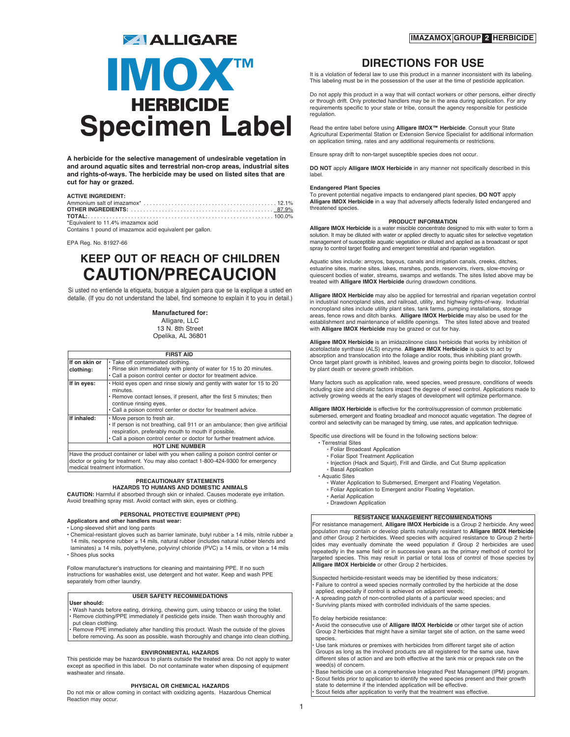## **ZI ALLIGARE**

## **IMOX™ HERBICIDE Specimen Label**

**A herbicide for the selective management of undesirable vegetation in and around aquatic sites and terrestrial non-crop areas, industrial sites and rights-of-ways. The herbicide may be used on listed sites that are cut for hay or grazed.**

#### **ACTIVE INGREDIENT:**

Ammonium salt of imazamox\* . . . . . . . . . . . . . . . . . . . . . . . . . . . . . . . . . . . . . . . . . . . 12.1% **OTHER INGREDIENTS:** . . . . . . . . . . . . . . . . . . . . . . . . . . . . . . . . . . . . . . . . . . . . . . 87.9% **TOTAL:**. . . . . . . . . . . . . . . . . . . . . . . . . . . . . . . . . . . . . . . . . . . . . . . . . . . . . . . . . . . . 100.0%

\*Equivalent to 11.4% imazamox acid

Contains 1 pound of imazamox acid equivalent per gallon.

#### EPA Reg. No. 81927-66

## **KEEP OUT OF REACH OF CHILDREN CAUTION/PRECAUCION**

Si usted no entiende la etiqueta, busque a alguien para que se la explique a usted en detalle. (If you do not understand the label, find someone to explain it to you in detail.)

#### **Manufactured for:**

Alligare, LLC 13 N. 8th Street

Opelika, AL 36801

### **FIRST AID**

| If on skin or<br>clothing: | · Take off contaminated clothing.<br>. Rinse skin immediately with plenty of water for 15 to 20 minutes.<br>. Call a poison control center or doctor for treatment advice.                                                                           |  |  |
|----------------------------|------------------------------------------------------------------------------------------------------------------------------------------------------------------------------------------------------------------------------------------------------|--|--|
| If in eyes:                | . Hold eyes open and rinse slowly and gently with water for 15 to 20<br>minutes.<br>. Remove contact lenses, if present, after the first 5 minutes; then<br>continue rinsing eyes.<br>. Call a poison control center or doctor for treatment advice. |  |  |
| If inhaled:                | . Move person to fresh air.<br>. If person is not breathing, call 911 or an ambulance; then give artificial<br>respiration, preferably mouth to mouth if possible.<br>. Call a poison control center or doctor for further treatment advice.         |  |  |
| <b>HOT LINE NUMBER</b>     |                                                                                                                                                                                                                                                      |  |  |
|                            | Have the product container or label with you when calling a poison control center or                                                                                                                                                                 |  |  |

Have the product container or label with you when calling a poison control center or doctor or going for treatment. You may also contact 1-800-424-9300 for emergency medical treatment information.

#### **PRECAUTIONARY STATEMENTS HAZARDS TO HUMANS AND DOMESTIC ANIMALS**

**CAUTION:** Harmful if absorbed through skin or inhaled. Causes moderate eye irritation. Avoid breathing spray mist. Avoid contact with skin, eyes or clothing.

#### **PERSONAL PROTECTIVE EQUIPMENT (PPE)**

**Applicators and other handlers must wear:**

- Long-sleeved shirt and long pants
- Chemical-resistant gloves such as barrier laminate, butyl rubber ≥ 14 mils, nitrile rubber ≥ 14 mils, neoprene rubber ≥ 14 mils, natural rubber (includes natural rubber blends and laminates) ≥ 14 mils, polyethylene, polyvinyl chloride (PVC) ≥ 14 mils, or viton ≥ 14 mils
- Shoes plus socks

Follow manufacturer's instructions for cleaning and maintaining PPE. If no such instructions for washables exist, use detergent and hot water. Keep and wash PPE separately from other laundry.

#### **USER SAFETY RECOMMEDATIONS**

#### **User should:**

• Wash hands before eating, drinking, chewing gum, using tobacco or using the toilet. • Remove clothing/PPE immediately if pesticide gets inside. Then wash thoroughly and put clean clothing.

.<br>Remove PPE immediately after handling this product. Wash the outside of the gloves before removing. As soon as possible, wash thoroughly and change into clean clothing.

#### **ENVIRONMENTAL HAZARDS**

This pesticide may be hazardous to plants outside the treated area. Do not apply to water except as specified in this label. Do not contaminate water when disposing of equipment washwater and rinsate.

#### **PHYSICAL OR CHEMICAL HAZARDS**

Do not mix or allow coming in contact with oxidizing agents. Hazardous Chemical Reaction may occur.

### **IMAZAMOX GROUP 2 HERBICIDE**

## **DIRECTIONS FOR USE**

It is a violation of federal law to use this product in a manner inconsistent with its labeling. This labeling must be in the possession of the user at the time of pesticide application.

Do not apply this product in a way that will contact workers or other persons, either directly or through drift. Only protected handlers may be in the area during application. For any requirements specific to your state or tribe, consult the agency responsible for pesticide regulation.

Read the entire label before using **Alligare IMOX™ Herbicide**. Consult your State Agricultural Experimental Station or Extension Service Specialist for additional information on application timing, rates and any additional requirements or restrictions.

Ensure spray drift to non-target susceptible species does not occur.

**DO NOT** apply **Alligare IMOX Herbicide** in any manner not specifically described in this label.

#### **Endangered Plant Species**

To prevent potential negative impacts to endangered plant species, **DO NOT** apply **Alligare IMOX Herbicide** in a way that adversely affects federally listed endangered and threatened species.

#### **PRODUCT INFORMATION**

**Alligare IMOX Herbicide** is a water miscible concentrate designed to mix with water to form a solution. It may be diluted with water or applied directly to aquatic sites for selective vegetation management of susceptible aquatic vegetation or diluted and applied as a broadcast or spot spray to control target floating and emergent terrestrial and riparian vegetation.

Aquatic sites include: arroyos, bayous, canals and irrigation canals, creeks, ditches, estuarine sites, marine sites, lakes, marshes, ponds, reservoirs, rivers, slow-moving or quiescent bodies of water, streams, swamps and wetlands. The sites listed above may be treated with **Alligare IMOX Herbicide** during drawdown conditions.

**Alligare IMOX Herbicide** may also be applied for terrestrial and riparian vegetation control in industrial noncropland sites, and railroad, utility, and highway rights-of-way. Industrial noncropland sites include utility plant sites, tank farms, pumping installations, storage<br>areas, fence rows and ditch banks. **Alligare IMOX Herbicide** may also be used for the<br>establishment and maintenance of wildlife ope with **Alligare IMOX Herbicide** may be grazed or cut for hay.

**Alligare IMOX Herbicide** is an imidazolinone class herbicide that works by inhibition of acetolactate synthase (ALS) enzyme. **Alligare IMOX Herbicide** is quick to act by absorption and translocation into the foliage and/or roots, thus inhibiting plant growth. Once target plant growth is inhibited, leaves and growing points begin to discolor, followed by plant death or severe growth inhibition.

Many factors such as application rate, weed species, weed pressure, conditions of weeds including size and climatic factors impact the degree of weed control. Applications made to actively growing weeds at the early stages of development will optimize performance.

**Alligare IMOX Herbicide** is effective for the control/suppression of common problematic submersed, emergent and floating broadleaf and monocot aquatic vegetation. The degree of control and selectivity can be managed by timing, use rates, and application technique.

Specific use directions will be found in the following sections below:

- Terrestrial Sites • Foliar Broadcast Application
	-
	- Foliar Spot Treatment Application
- Injection (Hack and Squirt), Frill and Girdle, and Cut Stump application • Basal Application
- Aquatic Sites
	-
	- Water Application to Submersed, Emergent and Floating Vegetation. Foliar Application to Emergent and/or Floating Vegetation.
	- Aerial Application
	- Drawdown Application

#### **RESISTANCE MANAGEMENT RECOMMENDATIONS**

For resistance management, **Alligare IMOX Herbicide** is a Group 2 herbicide. Any weed population may contain or develop plants naturally resistant to **Alligare IMOX Herbicide** and other Group 2 herbicides. Weed species with acquired resistance to Group 2 herbicides may eventually dominate the weed population if Group 2 herbicides are used<br>repeatedly in the same field or in successive years as the primary method of control for<br>targeted species. This may result in partial or tota **Alligare IMOX Herbicide** or other Group 2 herbicides.

Suspected herbicide-resistant weeds may be identified by these indicators:

- Failure to control a weed species normally controlled by the herbicide at the dose applied, especially if control is achieved on adjacent weeds;
- A spreading patch of non-controlled plants of a particular weed species; and
- Surviving plants mixed with controlled individuals of the same species.

- To delay herbicide resistance: Avoid the consecutive use of **Alligare IMOX Herbicide** or other target site of action Group 2 herbicides that might have a similar target site of action, on the same weed species.
- Use tank mixtures or premixes with herbicides from different target site of action Groups as long as the involved products are all registered for the same use, have different sites of action and are both effective at the tank mix or prepack rate on the weed(s) of concern.

• Base herbicide use on a comprehensive Integrated Pest Management (IPM) program. • Scout fields prior to application to identify the weed species present and their growth state to determine if the intended application will be effective. Scout fields after application to verify that the treatment was effective.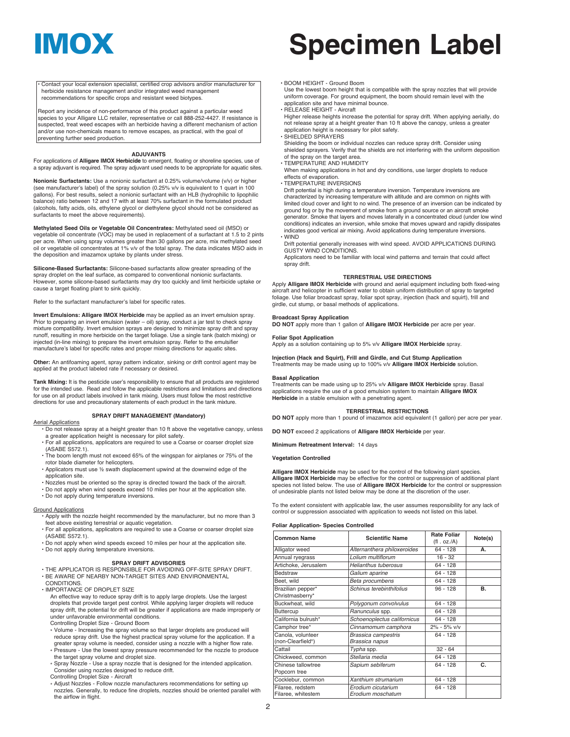• Contact your local extension specialist, certified crop advisors and/or manufacturer for herbicide resistance management and/or integrated weed management recommendations for specific crops and resistant weed biotypes.

Report any incidence of non-performance of this product against a particular weed species to your Alligare LLC retailer, representative or call 888-252-4427. If resistance is suspected, treat weed escapes with an herbicide having a different mechanism of action and/or use non-chemicals means to remove escapes, as practical, with the goal of preventing further seed production.

#### **ADJUVANTS**

For applications of **Alligare IMOX Herbicide** to emergent, floating or shoreline species, use of a spray adjuvant is required. The spray adjuvant used needs to be appropriate for aquatic sites.

**Nonionic Surfactants:** Use a nonionic surfactant at 0.25% volume/volume (v/v) or higher (see manufacturer's label) of the spray solution (0.25% v/v is equivalent to 1 quart in 100 gallons). For best results, select a nonionic surfactant with an HLB (hydrophilic to lipophilic balance) ratio between 12 and 17 with at least 70% surfactant in the formulated product (alcohols, fatty acids, oils, ethylene glycol or diethylene glycol should not be considered as surfactants to meet the above requirements).

**Methylated Seed Oils or Vegetable Oil Concentrates:** Methylated seed oil (MSO) or vegetable oil concentrate (VOC) may be used in replacement of a surfactant at 1.5 to 2 pints per acre. When using spray volumes greater than 30 gallons per acre, mix methylated seed oil or vegetable oil concentrates at 1% v/v of the total spray. The data indicates MSO aids in the deposition and imazamox uptake by plants under stress.

**Silicone-Based Surfactants:** Silicone-based surfactants allow greater spreading of the spray droplet on the leaf surface, as compared to conventional nonionic surfactants. However, some silicone-based surfactants may dry too quickly and limit herbicide uptake or cause a target floating plant to sink quickly.

Refer to the surfactant manufacturer's label for specific rates.

**Invert Emulsions: Alligare IMOX Herbicide** may be applied as an invert emulsion spray. Prior to preparing an invert emulsion (water – oil) spray, conduct a jar test to check spray mixture compatibility. Invert emulsion sprays are designed to minimize spray drift and spray runoff, resulting in more herbicide on the target foliage. Use a single tank (batch mixing) or injected (in-line mixing) to prepare the invert emulsion spray. Refer to the emulsifier manufacture's label for specific rates and proper mixing directions for aquatic sites.

**Other:** An antifoaming agent, spray pattern indicator, sinking or drift control agent may be applied at the product labeled rate if necessary or desired.

**Tank Mixing:** It is the pesticide user's responsibility to ensure that all products are registered for the intended use. Read and follow the applicable restrictions and limitations and directions for use on all product labels involved in tank mixing. Users must follow the most restrictive directions for use and precautionary statements of each product in the tank mixture.

### **SPRAY DRIFT MANAGEMENT (Mandatory)**

#### Aerial Applications

- Do not release spray at a height greater than 10 ft above the vegetative canopy, unless a greater application height is necessary for pilot safety.
- For all applications, applicators are required to use a Coarse or coarser droplet size (ASABE S572.1).
- The boom length must not exceed 65% of the wingspan for airplanes or 75% of the rotor blade diameter for helicopters.
- Applicators must use ½ swath displacement upwind at the downwind edge of the application site.
- 
- Nozzles must be oriented so the spray is directed toward the back of the aircraft. Do not apply when wind speeds exceed 10 miles per hour at the application site.
- Do not apply during temperature inversions.

#### Ground Applications

- Apply with the nozzle height recommended by the manufacturer, but no more than 3 feet above existing terrestrial or aquatic vegetation.
- For all applications, applicators are required to use a Coarse or coarser droplet size (ASABE S572.1).
- Do not apply when wind speeds exceed 10 miles per hour at the application site. • Do not apply during temperature inversions.

#### **SPRAY DRIFT ADVISORIES**

- THE APPLICATOR IS RESPONSIBLE FOR AVOIDING OFF-SITE SPRAY DRIFT.
- BE AWARE OF NEARBY NON-TARGET SITES AND ENVIRONMENTAL
- **CONDITIONS** • IMPORTANCE OF DROPLET SIZE
- An effective way to reduce spray drift is to apply large droplets. Use the largest droplets that provide target pest control. While applying larger droplets will reduce spray drift, the potential for drift will be greater if applications are made improperly or under unfavorable environmental conditions. Controlling Droplet Size - Ground Boom
- 
- Volume Increasing the spray volume so that larger droplets are produced will reduce spray drift. Use the highest practical spray volume for the application. If a greater spray volume is needed, consider using a nozzle with a higher flow rate.
- Pressure Use the lowest spray pressure recommended for the nozzle to produce the target spray volume and droplet size.
- Spray Nozzle Use a spray nozzle that is designed for the intended application. Consider using nozzles designed to reduce drift.
- Controlling Droplet Size Aircraft
- Adjust Nozzles Follow nozzle manufacturers recommendations for setting up nozzles. Generally, to reduce fine droplets, nozzles should be oriented parallel with the airflow in flight.

# **IMOX Specimen Label**

#### • BOOM HEIGHT - Ground Boom

Use the lowest boom height that is compatible with the spray nozzles that will provide uniform coverage. For ground equipment, the boom should remain level with the application site and have minimal bounce.

- RELEASE HEIGHT Aircraft
- Higher release heights increase the potential for spray drift. When applying aerially, do not release spray at a height greater than 10 ft above the canopy, unless a greater application height is necessary for pilot safety.
- SHIELDED SPRAYERS

Shielding the boom or individual nozzles can reduce spray drift. Consider using shielded sprayers. Verify that the shields are not interfering with the uniform deposition of the spray on the target area.

• TEMPERATURE AND HUMIDITY

When making applications in hot and dry conditions, use larger droplets to reduce effects of evaporation.

#### • TEMPERATURE INVERSIONS

Drift potential is high during a temperature inversion. Temperature inversions are characterized by increasing temperature with altitude and are common on nights with limited cloud cover and light to no wind. The presence of an inversion can be indicated by ground fog or by the movement of smoke from a ground source or an aircraft smoke generator. Smoke that layers and moves laterally in a concentrated cloud (under low wind conditions) indicates an inversion, while smoke that moves upward and rapidly dissipates indicates good vertical air mixing. Avoid applications during temperature inversions. • WIND

Drift potential generally increases with wind speed. AVOID APPLICATIONS DURING GUSTY WIND CONDITIONS.

Applicators need to be familiar with local wind patterns and terrain that could affect spray drift.

#### **TERRESTRIAL USE DIRECTIONS**

Apply **Alligare IMOX Herbicide** with ground and aerial equipment including both fixed-wing aircraft and helicopter in sufficient water to obtain uniform distribution of spray to targeted foliage. Use foliar broadcast spray, foliar spot spray, injection (hack and squirt), frill and girdle, cut stump, or basal methods of applications.

**Broadcast Spray Application DO NOT** apply more than 1 gallon of **Alligare IMOX Herbicide** per acre per year.

**Foliar Spot Application** Apply as a solution containing up to 5% v/v **Alligare IMOX Herbicide** spray.

**Injection (Hack and Squirt), Frill and Girdle, and Cut Stump Application** Treatments may be made using up to 100% v/v **Alligare IMOX Herbicide** solution.

#### **Basal Application**

Treatments can be made using up to 25% v/v **Alligare IMOX Herbicide** spray. Basal applications require the use of a good emulsion system to maintain **Alligare IMOX Herbicide** in a stable emulsion with a penetrating agent.

#### **TERRESTRIAL RESTRICTIONS**

**DO NOT** apply more than 1 pound of imazamox acid equivalent (1 gallon) per acre per year.

**DO NOT** exceed 2 applications of **Alligare IMOX Herbicide** per year.

**Minimum Retreatment Interval:** 14 days

#### **Vegetation Controlled**

**Alligare IMOX Herbicide** may be used for the control of the following plant species. **Alligare IMOX Herbicide** may be effective for the control or suppression of additional plant<br>species not listed below. The use of **Alligare IMOX Herbicide** for the control or suppression of undesirable plants not listed below may be done at the discretion of the user.

To the extent consistent with applicable law, the user assumes responsibility for any lack of control or suppression associated with application to weeds not listed on this label.

#### **Foliar Application- Species Controlled**

| <b>Common Name</b>                                  | <b>Scientific Name</b>                  | <b>Rate Foliar</b><br>(fl. oz./A) | Note(s) |
|-----------------------------------------------------|-----------------------------------------|-----------------------------------|---------|
| Alligator weed                                      | Alternanthera philoxeroides             | $64 - 128$                        | А.      |
| Annual ryegrass                                     | Lolium multiflorum                      | $16 - 32$                         |         |
| Artichoke, Jerusalem                                | Helianthus tuberosus                    | 64 - 128                          |         |
| Bedstraw                                            | Galium aparine                          | $64 - 128$                        |         |
| Beet, wild                                          | Beta procumbens                         | 64 - 128                          |         |
| Brazilian pepper*<br>Christmasberry*                | Schinus terebinthifolius                | $96 - 128$                        | В.      |
| Buckwheat, wild                                     | Polygonum convolvulus                   | 64 - 128                          |         |
| <b>Buttercup</b>                                    | Ranunculus spp.                         | 64 - 128                          |         |
| California bulrush*                                 | Schoenoplectus californicus             | 64 - 128                          |         |
| Camphor tree*                                       | Cinnamomum camphora                     | 2% - 5% v/v                       |         |
| Canola, volunteer<br>(non-Clearfield <sup>®</sup> ) | Brassica campestris<br>Brassica napus   | 64 - 128                          |         |
| Cattail                                             | Typha spp.                              | $32 - 64$                         |         |
| Chickweed, common                                   | Stellaria media                         | 64 - 128                          |         |
| Chinese tallowtree<br>Popcorn tree                  | Sapium sebiferum                        | $64 - 128$                        | C.      |
| Cocklebur, common                                   | Xanthium strumarium                     | 64 - 128                          |         |
| Filaree, redstem<br>Filaree, whitestem              | Erodium cicutarium<br>Erodium moschatum | $64 - 128$                        |         |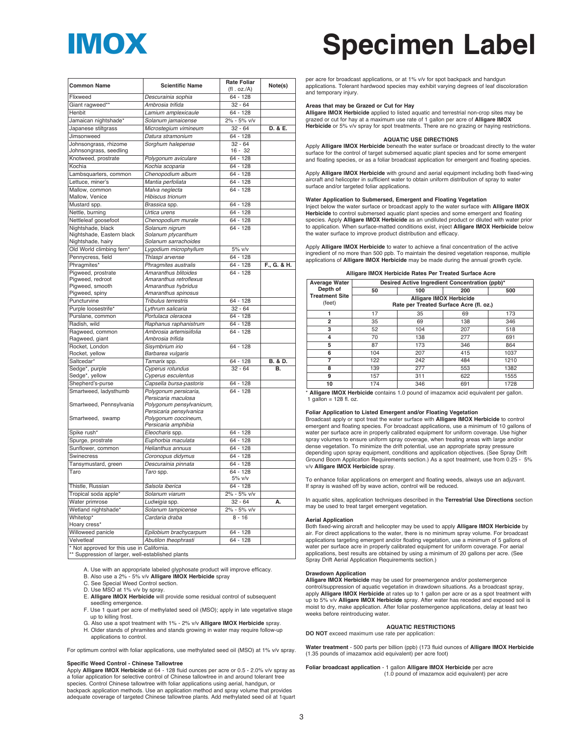| <b>Common Name</b>                                | <b>Scientific Name</b>                       | <b>Rate Foliar</b>            | Note(s)     |
|---------------------------------------------------|----------------------------------------------|-------------------------------|-------------|
|                                                   |                                              | (fl. oz./A)                   |             |
| Flixweed                                          | Descurainia sophia                           | $64 - 128$                    |             |
| Giant ragweed**                                   | Ambrosia trifida                             | $32 - 64$                     |             |
| Henbit<br>Jamaican nightshade*                    | Lamium amplexicaule<br>Solanum jamaicense    | $64 - 128$<br>$2\% - 5\%$ v/v |             |
| Japanese stiltgrass                               |                                              | $32 - 64$                     | D. & E.     |
| Jimsonweed                                        | Microstegium vimineum<br>Datura stramonium   | $64 - 128$                    |             |
| Johnsongrass, rhizome                             | Sorghum halepense                            | $32 - 64$                     |             |
| Johnsongrass, seedling                            |                                              | $16 - 32$                     |             |
| Knotweed, prostrate                               | Polygonum aviculare                          | $64 - 128$                    |             |
| Kochia                                            | Kochia scoparia                              | $64 - 128$                    |             |
| Lambsquarters, common                             | Chenopodium album                            | $64 - 128$                    |             |
| Lettuce, miner's                                  | Mantia perfoliata                            | 64 - 128                      |             |
| Mallow, common                                    | Malva neglecta                               | $64 - 128$                    |             |
| Mallow, Venice                                    | Hibiscus trionum                             |                               |             |
| Mustard spp.                                      | Brassica spp.                                | $64 - 128$                    |             |
| Nettle, burning                                   | Urtica urens                                 | $64 - 128$                    |             |
| Nettleleaf goosefoot                              | Chenopodium murale                           | 64 - 128                      |             |
| Nightshade, black                                 | Solanum nigrum                               | $64 - 128$                    |             |
| Nightshade, Eastern black                         | Solanum ptycanthum                           |                               |             |
| Nightshade, hairy                                 | Solanum sarrachoides                         |                               |             |
| Old World climbing fern*                          | Lygodium microphyllum                        | $5%$ v/v                      |             |
| Pennycress, field                                 | Thlaspi arvense                              | $64 - 128$                    |             |
| Phragmites*                                       | Phragmites australis                         | $64 - 128$                    | F., G. & H. |
| Pigweed, prostrate                                | Amaranthus blitoides                         | $64 - 128$                    |             |
| Pigweed, redroot                                  | Amaranthus retroflexus                       |                               |             |
| Pigweed, smooth                                   | Amaranthus hybridus                          |                               |             |
| Pigweed, spiny                                    | Amaranthus spinosus                          |                               |             |
| Puncturvine                                       | Tribulus terrestris                          | 64 - 128                      |             |
| Purple loosestrife*                               | Lythrum salicaria                            | $32 - 64$                     |             |
| Purslane, common                                  | Portulaca oleracea                           | $64 - 128$                    |             |
| Radish, wild                                      | Raphanus raphanistrum                        | $64 - 128$                    |             |
| Ragweed, common<br>Ragweed, giant                 | Ambrosia artemisiifolia<br>Ambrosia trifida  | $64 - 128$                    |             |
| Rocket, London                                    | Sisymbrium irio                              | $64 - 128$                    |             |
| Rocket, yellow                                    | Barbarea vulgaris                            |                               |             |
| Saltcedar*                                        | Tamarix spp.                                 | $64 - 128$                    | B. & D.     |
| Sedge*, purple                                    | Cyperus rotundus                             | $32 - 64$                     | B.          |
| Sedge*, yellow                                    | <b>Cyperus esculentus</b>                    |                               |             |
| Shepherd's-purse                                  | Capsella bursa-pastoris                      | $64 - 128$                    |             |
| Smartweed, ladysthumb                             | Polygonum persicaria,<br>Persicaria maculosa | $64 - 128$                    |             |
| Smartweed, Pennsylvania                           | Polygonum pensylvanicum,                     |                               |             |
|                                                   | Persicaria pensylvanica                      |                               |             |
| Smartweed, swamp                                  | Polygonum coccineum,                         |                               |             |
|                                                   | Persicaria amphibia                          |                               |             |
| Spike rush*                                       | Eleocharis spp.                              | $64 - 128$                    |             |
| Spurge, prostrate                                 | Euphorbia maculata                           | $64 - 128$                    |             |
| Sunflower, common                                 | Helianthus annuus                            | $64 - 128$                    |             |
| Swinecress                                        | Coronopus didymus                            | $64 - 128$                    |             |
| Tansymustard, green                               | Descurainia pinnata                          | $64 - 128$                    |             |
| Taro                                              | Taro spp.                                    | $64 - 128$<br>5% v/v          |             |
| Thistle, Russian                                  | Salsola iberica                              | $64 - 128$                    |             |
| Tropical soda apple*                              | Solanum viarum                               | $2\% - 5\%$ v/v               |             |
| Water primrose                                    | Ludwigia spp.                                | $32 - 64$                     | A.          |
| Wetland nightshade*                               | Solanum tampicense                           | 2% - 5% v/v                   |             |
| Whitetop*                                         | Cardaria draba                               | $8 - 16$                      |             |
| Hoary cress*                                      |                                              |                               |             |
| Willoweed panicle                                 | Epilobium brachycarpum                       | $64 - 128$                    |             |
| Velvetleaf                                        | Abutilon theophrasti                         | $64 - 128$                    |             |
| * Not approved for this use in California.        |                                              |                               |             |
| ** Suppression of larger, well-established plants |                                              |                               |             |

A. Use with an appropriate labeled glyphosate product will improve efficacy.

B. Also use a 2% - 5% v/v **Alligare IMOX Herbicide** spray C. See Special Weed Control section.

D. Use MSO at 1% v/v by spray.

E. **Alligare IMOX Herbicide** will provide some residual control of subsequent seedling emergence.

F. Use 1 quart per acre of methylated seed oil (MSO); apply in late vegetative stage up to killing frost.

G. Also use a spot treatment with 1% - 2% v/v **Alligare IMOX Herbicide** spray.

H. Older stands of phramites and stands growing in water may require follow-up applications to control.

For optimum control with foliar applications, use methylated seed oil (MSO) at 1% v/v spray.

#### **Specific Weed Control - Chinese Tallowtree**

Apply **Alligare IMOX Herbicide** at 64 - 128 fluid ounces per acre or 0.5 - 2.0% v/v spray as a foliar application for selective control of Chinese tallowtree in and around tolerant tree species. Control Chinese tallowtree with foliar applications using aerial, handgun, or backpack application methods. Use an application method and spray volume that provides adequate coverage of targeted Chinese tallowtree plants. Add methylated seed oil at 1quart

# **IMOX Specimen Label**

per acre for broadcast applications, or at 1% v/v for spot backpack and handgun applications. Tolerant hardwood species may exhibit varying degrees of leaf discoloration and temporary injury.

#### **Areas that may be Grazed or Cut for Hay**

**Alligare IMOX Herbicide** applied to listed aquatic and terrestrial non-crop sites may be grazed or cut for hay at a maximum use rate of 1 gallon per acre of **Alligare IMOX** Herbicide or 5% v/v spray for spot treatments. There are no grazing or haying restrictions.

#### **AQUATIC USE DIRECTIONS**

Apply **Alligare IMOX Herbicide** beneath the water surface or broadcast directly to the water surface for the control of target submersed aquatic plant species and for some emergent and floating species, or as a foliar broadcast application for emergent and floating species.

Apply **Alligare IMOX Herbicide** with ground and aerial equipment including both fixed-wing aircraft and helicopter in sufficient water to obtain uniform distribution of spray to water surface and/or targeted foliar applications.

#### **Water Application to Submersed, Emergent and Floating Vegetation**

Inject below the water surface or broadcast apply to the water surface with **Alligare IMOX Herbicide** to control submersed aquatic plant species and some emergent and floating species. Apply **Alligare IMOX Herbicide** as an undiluted product or diluted with water prior to application. When surface-matted conditions exist, inject **Alligare IMOX Herbicide** below the water surface to improve product distribution and efficacy.

Apply **Alligare IMOX Herbicide** to water to achieve a final concentration of the active ingredient of no more than 500 ppb. To maintain the desired vegetation response, multiple applications of **Alligare IMOX Herbicide** may be made during the annual growth cycle. **Alligare IMOX Herbicide Rates Per Treated Surface Acre**

| Alligare IMOX Herbicide Rates Per Treated Surface Acre |                                                |     |     |      |
|--------------------------------------------------------|------------------------------------------------|-----|-----|------|
| <b>Average Water</b>                                   | Desired Active Ingredient Concentration (ppb)* |     |     |      |
| Depth of                                               | 50                                             | 100 | 200 | 500  |
| <b>Treatment Site</b>                                  | <b>Alligare IMOX Herbicide</b>                 |     |     |      |
| (feet)                                                 | Rate per Treated Surface Acre (fl. oz.)        |     |     |      |
|                                                        | 17                                             | 35  | 69  | 173  |
| $\overline{2}$                                         | 35                                             | 69  | 138 | 346  |
| 3                                                      | 52                                             | 104 | 207 | 518  |
| 4                                                      | 70                                             | 138 | 277 | 691  |
| 5                                                      | 87                                             | 173 | 346 | 864  |
| 6                                                      | 104                                            | 207 | 415 | 1037 |
| 7                                                      | 122                                            | 242 | 484 | 1210 |
| 8                                                      | 139                                            | 277 | 553 | 1382 |
| 9                                                      | 157                                            | 311 | 622 | 1555 |
| 10                                                     | 174                                            | 346 | 691 | 1728 |

\* **Alligare IMOX Herbicide** contains 1.0 pound of imazamox acid equivalent per gallon. 1 gallon =  $128$  fl. oz.

### **Foliar Application to Listed Emergent and/or Floating Vegetation**

Broadcast apply or spot treat the water surface with **Alligare IMOX Herbicide** to control emergent and floating species. For broadcast applications, use a minimum of 10 gallons of water per surface acre in properly calibrated equipment for uniform coverage. Use higher spray volumes to ensure uniform spray coverage, when treating areas with large and/or dense vegetation. To minimize the drift potential, use an appropriate spray pressure depending upon spray equipment, conditions and application objectives. (See Spray Drift Ground Boom Application Requirements section.) As a spot treatment, use from 0.25 - 5% v/v **Alligare IMOX Herbicide** spray.

To enhance foliar applications on emergent and floating weeds, always use an adjuvant. If spray is washed off by wave action, control will be reduced.

In aquatic sites, application techniques described in the **Terrestrial Use Directions** section may be used to treat target emergent vegetation.

#### **Aerial Application**

Both fixed-wing aircraft and helicopter may be used to apply **Alligare IMOX Herbicide** by air. For direct applications to the water, there is no minimum spray volume. For broadcast applications targeting emergent and/or floating vegetation, use a minimum of 5 gallons of water per surface acre in properly calibrated equipment for uniform coverage. For aerial applications, best results are obtained by using a minimum of 20 gallons per acre. (See Spray Drift Aerial Application Requirements section.)

**Drawdown Application Alligare IMOX Herbicide** may be used for preemergence and/or postemergence control/suppression of aquatic vegetation in drawdown situations. As a broadcast spray, apply **Alligare IMOX Herbicide** at rates up to 1 gallon per acre or as a spot treatment with up to 5% v/v **Alligare IMOX Herbicide** spray. After water has receded and exposed soil is moist to dry, make application. After foliar postemergence applications, delay at least two weeks before reintroducing water.

#### **AQUATIC RESTRICTIONS**

**DO NOT** exceed maximum use rate per application:

**Water treatment** - 500 parts per billion (ppb) (173 fluid ounces of **Alligare IMOX Herbicide** (1.35 pounds of imazamox acid equivalent) per acre foot)

**Foliar broadcast application** - 1 gallon **Alligare IMOX Herbicide** per acre (1.0 pound of imazamox acid equivalent) per acre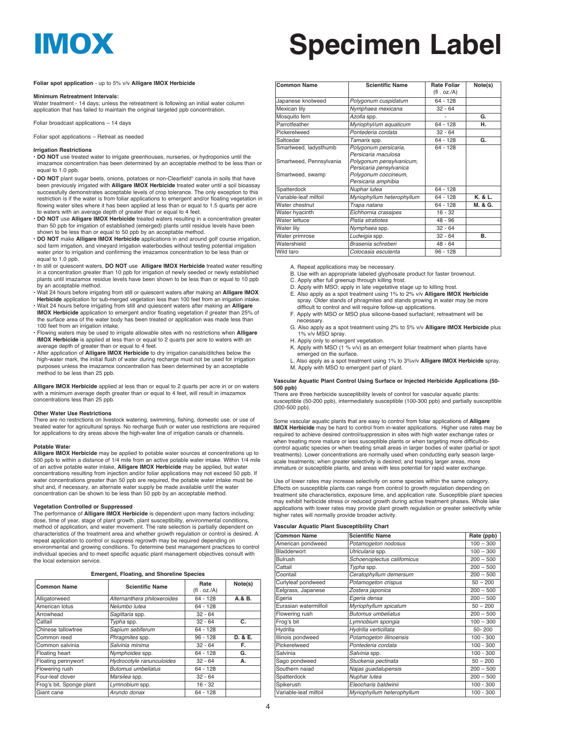# **IMOX Specimen Label**

#### **Foliar spot application** - up to 5% v/v **Alligare IMOX Herbicide**

#### **Minimum Retreatment Intervals:**

Water treatment - 14 days; unless the retreatment is following an initial water column application that has failed to maintain the original targeted ppb concentration.

Foliar broadcast applications – 14 days

Foliar spot applications – Retreat as needed

#### **Irrigation Restrictions**

- **DO NOT** use treated water to irrigate greenhouses, nurseries, or hydroponics until the imazamox concentration has been determined by an acceptable method to be less than or equal to 1.0 ppb.
- **DO NOT** plant sugar beets, onions, potatoes or non-Clearfield® canola in soils that have been previously irrigated with **Alligare IMOX Herbicide** treated water until a soil bioassay successfully demonstrates acceptable levels of crop tolerance. The only exception to this restriction is if the water is from foliar applications to emergent and/or floating vegetation in flowing water sites where it has been applied at less than or equal to 1.5 quarts per acre to waters with an average depth of greater than or equal to 4 feet.
- **DO NOT** use **Alligare IMOX Herbicide** treated waters resulting in a concentration greater than 50 ppb for irrigation of established (emerged) plants until residue levels have b
- shown to be less than or equal to 50 ppb by an acceptable method. **DO NOT** make **Alligare IMOX Herbicide** applications in and around golf course irrigation, sod farm irrigation, and vineyard irrigation waterbodies without testing potential irrigation water prior to irrigation and confirming the imazamox concentration to be less than or equal to 1.0 ppb.
- In still or quiescent waters, **DO NOT** use **Alligare IMOX Herbicide** treated water resulting in a concentration greater than 10 ppb for irrigation of newly seeded or newly established plants until imazamox residue levels have been shown to be less than or equal to 10 ppb by an acceptable method.
- Wait 24 hours before irrigating from still or quiescent waters after making an **Alligare IMOX Herbicide** application for sub-merged vegetation less than 100 feet from an irrigation intake.
- Wait 24 hours before irrigating from still and quiescent waters after making an **Alligare IMOX Herbicide** application to emergent and/or floating vegetation if greater than 25% of the surface area of the water body has been treated or application was made less than 100 feet from an irrigation intake.
- Flowing waters may be used to irrigate allowable sites with no restrictions when **Alligare IMOX Herbicide** is applied at less than or equal to 2 quarts per acre to waters with an average depth of greater than or equal to 4 feet.
- After application of **Alligare IMOX Herbicide** to dry irrigation canals/ditches below the high-water mark, the initial flush of water during recharge must not be used for irrigation purposes unless the imazamox concentration has been determined by an acceptable method to be less than 25 ppb.

**Alligare IMOX Herbicide** applied at less than or equal to 2 quarts per acre in or on waters with a minimum average depth greater than or equal to 4 feet, will result in imazamox concentrations less than 25 ppb.

#### **Other Water Use Restrictions**

There are no restrictions on livestock watering, swimming, fishing, domestic use, or use of treated water for agricultural sprays. No recharge flush or water use restrictions are required for applications to dry areas above the high-water line of irrigation canals or channels.

#### **Potable** Wate

**Alligare IMOX Herbicide** may be applied to potable water sources at concentrations up to 500 ppb to within a distance of 1/4 mile from an active potable water intake. Within 1/4 mile of an active potable water intake, **Alligare IMOX Herbicide** may be applied, but water concentrations resulting from injection and/or foliar applications may not exceed 50 ppb. If water concentrations greater than 50 ppb are required, the potable water intake must be shut and, if necessary, an alternate water supply be made available until the water concentration can be shown to be less than 50 ppb by an acceptable method.

#### **Vegetation Controlled or Suppressed**

The performance of **Alligare IMOX Herbicide** is dependent upon many factors including: dose, time of year, stage of plant growth, plant susceptibility, environmental conditions, method of application, and water movement. The rate selection is partially dependent on characteristics of the treatment area and whether growth regulation or control is desired. A repeat application to control or suppress regrowth may be required depending on environmental and growing conditions. To determine best management practices to control individual species and to meet specific aquatic plant management objectives consult with the local extension service.

| <b>Emergent, Floating, and Shoreline Species</b> |
|--------------------------------------------------|
|--------------------------------------------------|

| <b>Common Name</b>       | <b>Scientific Name</b>      | Rate<br>(fl. oz./A) | Note(s) |
|--------------------------|-----------------------------|---------------------|---------|
| Alligatorweed            | Alternanthera philoxeroides | $64 - 128$          | A.& B.  |
| American lotus           | Nelumbo lutea               | $64 - 128$          |         |
| Arrowhead                | Sagittaria spp.             | $32 - 64$           |         |
| Cattail                  | Typha spp.                  | $32 - 64$           | C.      |
| Chinese tallowtree       | Sapium sebiferum            | $64 - 128$          |         |
| Common reed              | Phragmites spp.             | $96 - 128$          | D. & E. |
| Common salvinia          | Salvinia minima             | $32 - 64$           | F.      |
| Floating heart           | Nymphoides spp.             | $64 - 128$          | G.      |
| Floating pennywort       | Hydrocotyle ranunculoides   | $32 - 64$           | А.      |
| Flowering rush           | <b>Butomus umbellatus</b>   | $64 - 128$          |         |
| Four-leaf clover         | Marsilea spp.               | $32 - 64$           |         |
| Frog's bit, Sponge plant | Lymnobium spp.              | $16 - 32$           |         |
| Giant cane               | Arundo donax                | $64 - 128$          |         |

| <b>Common Name</b>      | <b>Scientific Name</b>     | <b>Rate Foliar</b> | Note(s) |
|-------------------------|----------------------------|--------------------|---------|
|                         |                            | (fl. oz./A)        |         |
| Japanese knotweed       | Polygonum cuspidatum       | 64 - 128           |         |
| Mexican lily            | Nymphaea mexicana          | $32 - 64$          |         |
| Mosquito fern           | Azolla spp.                |                    | G.      |
| Parrotfeather           | Myriophyl/um aquaticum     | 64 - 128           | н.      |
| Pickerelweed            | Pontederia cordata         | $32 - 64$          |         |
| Saltcedar               | Tamarix spp.               | 64 - 128           | G.      |
| Smartweed, ladysthumb   | Polygonum persicaria,      | 64 - 128           |         |
|                         | Persicaria maculosa        |                    |         |
| Smartweed, Pennsylvania | Polygonum pensylvanicum,   |                    |         |
|                         | Persicaria pensylvanica    |                    |         |
| Smartweed, swamp        | Polygonum coccineum,       |                    |         |
|                         | Persicaria amphibia        |                    |         |
| Spatterdock             | Nuphar lutea               | 64 - 128           |         |
| Variable-leaf milfoil   | Myriophyllum heterophyllum | 64 - 128           | K. & L. |
| Water chestnut          | Trapa natans               | 64 - 128           | M. & G. |
| Water hyacinth          | Eichhornia crassipes       | $16 - 32$          |         |
| Water lettuce           | Pistia stratiotes          | $48 - 96$          |         |
| Water lily              | Nymphaea spp.              | $32 - 64$          |         |
| Water primrose          | Ludwigia spp.              | $32 - 64$          | В.      |
| Watershield             | Brasenia schreberi         | $48 - 64$          |         |
| Wild taro               | Colocasia esculenta        | $96 - 128$         |         |

A. Repeat applications may be necessary.

- B. Use with an appropriate labeled glyphosate product for faster brownout.
- C. Apply after full greenup through killing frost.
- D. Apply with MSO; apply in late vegetative stage up to killing frost.
- E. Also apply as a spot treatment using 1% to 2% v/v **Alligare IMOX Herbicide** spray. Older stands of phragmites and stands growing in water may be more difficult to control and will require follow-up applications.
- F. Apply with MSO or MSO plus silicone-based surfactant; retreatment will be necessary.
- G. Also apply as a spot treatment using 2% to 5% v/v **Alligare IMOX Herbicide** plus 1% v/v MSO spray.
- H. Apply only to emergent vegetation.
- K. Apply with MSO (1 % v/v) as an emergent foliar treatment when plants have emerged on the surface.
- L. Also apply as a spot treatment using 1% to 3%v/v **Alligare IMOX Herbicide** spray. M. Apply with MSO to emergent part of plant.

#### **Vascular Aquatic Plant Control Using Surface or Injected Herbicide Applications (50- 500 ppb)**

There are three herbicide susceptibility levels of control for vascular aquatic plants: susceptible (50-200 ppb), intermediately susceptible (100-300 ppb) and partially susceptible (200-500 ppb).

Some vascular aquatic plants that are easy to control from foliar applications of **Alligare IMOX Herbicide** may be hard to control from in-water applications. Higher use rates may be required to achieve desired control/suppression in sites with high water exchange rates or when treating more mature or less susceptible plants or when targeting more difficult-tocontrol aquatic species or when treating small areas in larger bodies of water (partial or spot treatments). Lower concentrations are normally used when conducting early season largescale treatments; when greater selectivity is desired; and treating larger areas, more immature or susceptible plants, and areas with less potential for rapid water exchange.

Use of lower rates may increase selectivity on some species within the same category. Effects on susceptible plants can range from control to growth regulation depending on treatment site characteristics, exposure time, and application rate. Susceptible plant species may exhibit herbicide stress or reduced growth during active treatment phases. Whole lake applications with lower rates may provide plant growth regulation or greater selectivity while higher rates will normally provide broader activity

#### **Vascular Aquatic Plant Susceptibility Chart**

| <b>Common Name</b>    | <b>Scientific Name</b>     | Rate (ppb)  |
|-----------------------|----------------------------|-------------|
| American pondweed     | Potamogeton nodosus        | $100 - 300$ |
| <b>Bladderwort</b>    | Utricularia spp.           | $100 - 300$ |
| <b>Bulrush</b>        | Schoenoplectus califomicus | $200 - 500$ |
| Cattail               | Typha spp.                 | $200 - 500$ |
| Coontail              | Ceratophyllum demersum     | $200 - 500$ |
| Curlyleaf pondweed    | Potamogeton crispus        | $50 - 200$  |
| Eelgrass, Japanese    | Zostera japonica           | $200 - 500$ |
| Egeria                | Egeria densa               | $200 - 500$ |
| Eurasian watermilfoil | Myriophyllum spicatum      | $50 - 200$  |
| Flowering rush        | <b>Butomus</b> umbeliatus  | $200 - 500$ |
| Froq's bit            | Lymnobium spongia          | $100 - 300$ |
| Hydrilla              | Hydrilla verticillata      | 50-200      |
| Illinois pondweed     | Potamogeton illinoensis    | $100 - 300$ |
| Pickerelweed          | Pontederia cordata         | $100 - 300$ |
| Salvinia              | Salvinia spp.              | $100 - 300$ |
| Sago pondweed         | Stuckenia pectinata        | $50 - 200$  |
| Southern naiad        | Najas guadalupensis        | $200 - 500$ |
| Spatterdock           | Nuphar lutea               | $200 - 500$ |
| Spikerush             | Eleocharis baldwinii       | $100 - 300$ |
| Variable-leaf milfoil | Myriophyllum heterophyllum | $100 - 300$ |